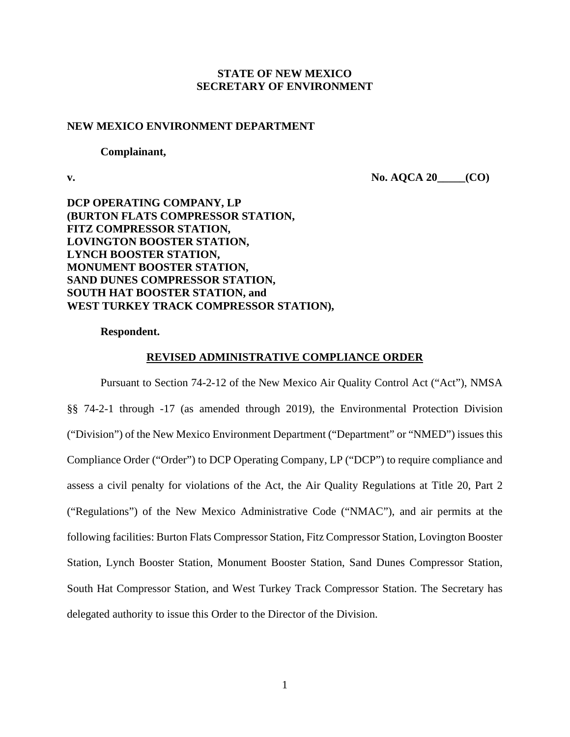# **STATE OF NEW MEXICO SECRETARY OF ENVIRONMENT**

# **NEW MEXICO ENVIRONMENT DEPARTMENT**

#### **Complainant,**

**v. No. AQCA 20\_\_\_\_\_(CO)**

**DCP OPERATING COMPANY, LP (BURTON FLATS COMPRESSOR STATION, FITZ COMPRESSOR STATION, LOVINGTON BOOSTER STATION, LYNCH BOOSTER STATION, MONUMENT BOOSTER STATION, SAND DUNES COMPRESSOR STATION, SOUTH HAT BOOSTER STATION, and WEST TURKEY TRACK COMPRESSOR STATION),**

**Respondent.**

#### **REVISED ADMINISTRATIVE COMPLIANCE ORDER**

Pursuant to Section 74-2-12 of the New Mexico Air Quality Control Act ("Act"), NMSA §§ 74-2-1 through -17 (as amended through 2019), the Environmental Protection Division ("Division") of the New Mexico Environment Department ("Department" or "NMED") issues this Compliance Order ("Order") to DCP Operating Company, LP ("DCP") to require compliance and assess a civil penalty for violations of the Act, the Air Quality Regulations at Title 20, Part 2 ("Regulations") of the New Mexico Administrative Code ("NMAC"), and air permits at the following facilities: Burton Flats Compressor Station, Fitz Compressor Station, Lovington Booster Station, Lynch Booster Station, Monument Booster Station, Sand Dunes Compressor Station, South Hat Compressor Station, and West Turkey Track Compressor Station. The Secretary has delegated authority to issue this Order to the Director of the Division.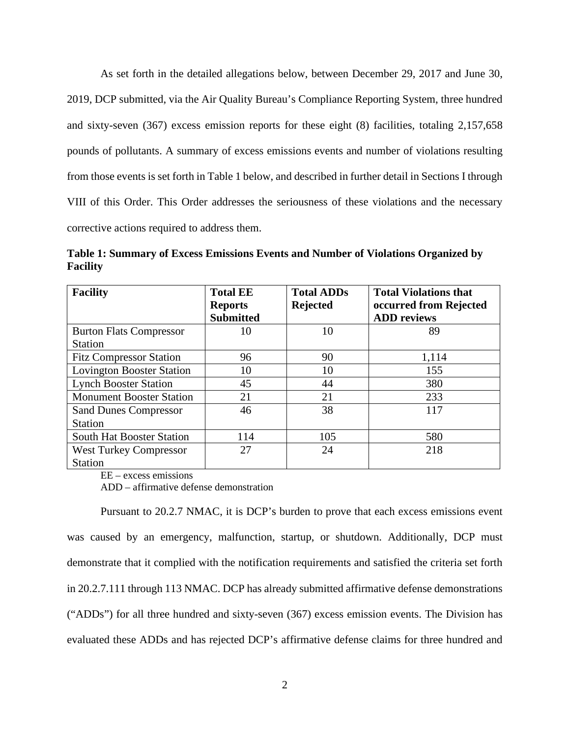As set forth in the detailed allegations below, between December 29, 2017 and June 30, 2019, DCP submitted, via the Air Quality Bureau's Compliance Reporting System, three hundred and sixty-seven (367) excess emission reports for these eight (8) facilities, totaling 2,157,658 pounds of pollutants. A summary of excess emissions events and number of violations resulting from those events is set forth in Table 1 below, and described in further detail in Sections I through VIII of this Order. This Order addresses the seriousness of these violations and the necessary corrective actions required to address them.

**Table 1: Summary of Excess Emissions Events and Number of Violations Organized by Facility**

| <b>Facility</b>                  | <b>Total EE</b><br><b>Reports</b><br><b>Submitted</b> | <b>Total ADDs</b><br><b>Rejected</b> | <b>Total Violations that</b><br>occurred from Rejected<br><b>ADD</b> reviews |
|----------------------------------|-------------------------------------------------------|--------------------------------------|------------------------------------------------------------------------------|
|                                  |                                                       |                                      |                                                                              |
| <b>Burton Flats Compressor</b>   | 10                                                    | 10                                   | 89                                                                           |
| <b>Station</b>                   |                                                       |                                      |                                                                              |
| <b>Fitz Compressor Station</b>   | 96                                                    | 90                                   | 1,114                                                                        |
| <b>Lovington Booster Station</b> | 10                                                    | 10                                   | 155                                                                          |
| <b>Lynch Booster Station</b>     | 45                                                    | 44                                   | 380                                                                          |
| <b>Monument Booster Station</b>  | 21                                                    | 21                                   | 233                                                                          |
| <b>Sand Dunes Compressor</b>     | 46                                                    | 38                                   | 117                                                                          |
| <b>Station</b>                   |                                                       |                                      |                                                                              |
| South Hat Booster Station        | 114                                                   | 105                                  | 580                                                                          |
| <b>West Turkey Compressor</b>    | 27                                                    | 24                                   | 218                                                                          |
| <b>Station</b>                   |                                                       |                                      |                                                                              |

EE – excess emissions

ADD – affirmative defense demonstration

Pursuant to 20.2.7 NMAC, it is DCP's burden to prove that each excess emissions event was caused by an emergency, malfunction, startup, or shutdown. Additionally, DCP must demonstrate that it complied with the notification requirements and satisfied the criteria set forth in 20.2.7.111 through 113 NMAC. DCP has already submitted affirmative defense demonstrations ("ADDs") for all three hundred and sixty-seven (367) excess emission events. The Division has evaluated these ADDs and has rejected DCP's affirmative defense claims for three hundred and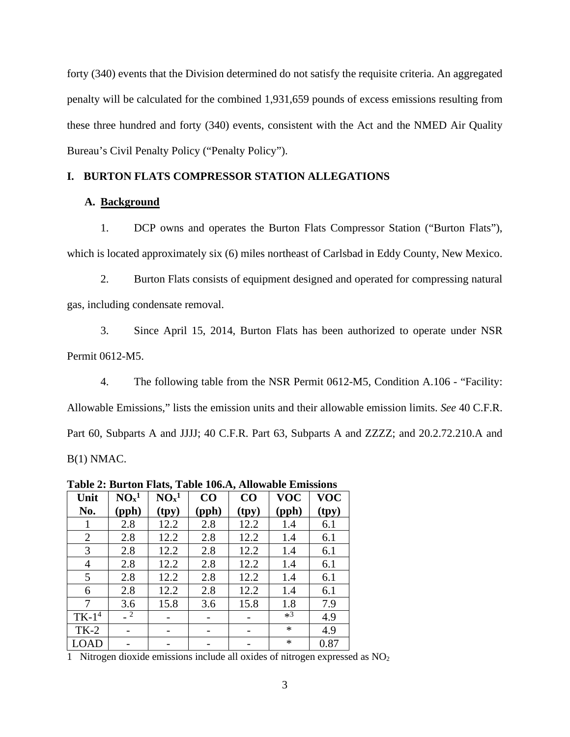forty (340) events that the Division determined do not satisfy the requisite criteria. An aggregated penalty will be calculated for the combined 1,931,659 pounds of excess emissions resulting from these three hundred and forty (340) events, consistent with the Act and the NMED Air Quality Bureau's Civil Penalty Policy ("Penalty Policy").

# **I. BURTON FLATS COMPRESSOR STATION ALLEGATIONS**

# **A. Background**

1. DCP owns and operates the Burton Flats Compressor Station ("Burton Flats"), which is located approximately six (6) miles northeast of Carlsbad in Eddy County, New Mexico.

2. Burton Flats consists of equipment designed and operated for compressing natural gas, including condensate removal.

3. Since April 15, 2014, Burton Flats has been authorized to operate under NSR Permit 0612-M5.

4. The following table from the NSR Permit 0612-M5, Condition A.106 - "Facility: Allowable Emissions," lists the emission units and their allowable emission limits. *See* 40 C.F.R. Part 60, Subparts A and JJJJ; 40 C.F.R. Part 63, Subparts A and ZZZZ; and 20.2.72.210.A and B(1) NMAC.

|                | radic 2. Dui ton Fiats, Table Too.A, Anowable Emissions |                              |       |       |            |            |  |
|----------------|---------------------------------------------------------|------------------------------|-------|-------|------------|------------|--|
| Unit           | NO <sub>x</sub> <sup>1</sup>                            | NO <sub>x</sub> <sup>1</sup> | CO    | CO    | <b>VOC</b> | <b>VOC</b> |  |
| No.            | (pph)                                                   | (tpy)                        | (pph) | (tpy) | (pph)      | (tpy)      |  |
|                | 2.8                                                     | 12.2                         | 2.8   | 12.2  | 1.4        | 6.1        |  |
| $\overline{2}$ | 2.8                                                     | 12.2                         | 2.8   | 12.2  | 1.4        | 6.1        |  |
| 3              | 2.8                                                     | 12.2                         | 2.8   | 12.2  | 1.4        | 6.1        |  |
| 4              | 2.8                                                     | 12.2                         | 2.8   | 12.2  | 1.4        | 6.1        |  |
| 5              | 2.8                                                     | 12.2                         | 2.8   | 12.2  | 1.4        | 6.1        |  |
| 6              | 2.8                                                     | 12.2                         | 2.8   | 12.2  | 1.4        | 6.1        |  |
| 7              | 3.6                                                     | 15.8                         | 3.6   | 15.8  | 1.8        | 7.9        |  |
| $TK-14$        | $-2$                                                    |                              |       |       | $*3$       | 4.9        |  |
| $TK-2$         |                                                         |                              |       |       | $\ast$     | 4.9        |  |
| LOAD           |                                                         |                              |       |       | $\ast$     | 0.87       |  |

**Table 2: Burton Flats, Table 106.A, Allowable Emissions**

1 Nitrogen dioxide emissions include all oxides of nitrogen expressed as NO2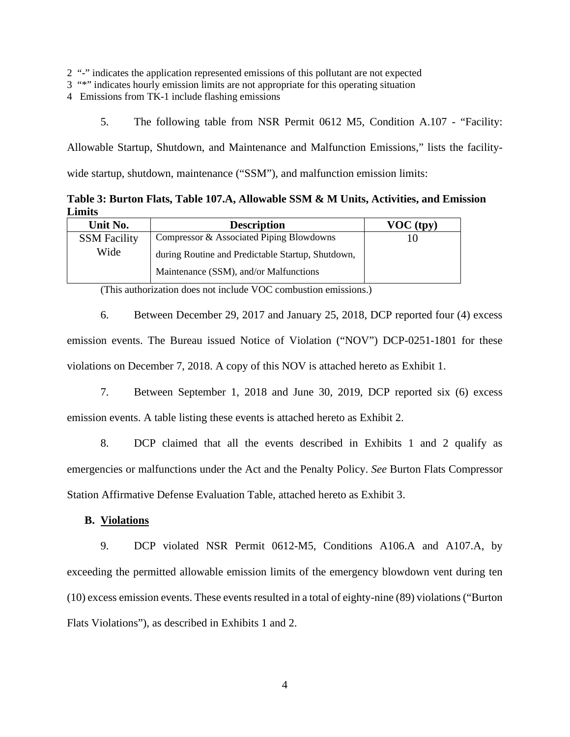2 "-" indicates the application represented emissions of this pollutant are not expected

- 3 "\*" indicates hourly emission limits are not appropriate for this operating situation
- 4 Emissions from TK-1 include flashing emissions
	- 5. The following table from NSR Permit 0612 M5, Condition A.107 "Facility:

Allowable Startup, Shutdown, and Maintenance and Malfunction Emissions," lists the facilitywide startup, shutdown, maintenance ("SSM"), and malfunction emission limits:

**Table 3: Burton Flats, Table 107.A, Allowable SSM & M Units, Activities, and Emission Limits**

| Unit No.            | <b>Description</b>                                | $VOC$ (tpy) |
|---------------------|---------------------------------------------------|-------------|
| <b>SSM Facility</b> | Compressor & Associated Piping Blowdowns          | IО          |
| Wide                | during Routine and Predictable Startup, Shutdown, |             |
|                     | Maintenance (SSM), and/or Malfunctions            |             |

(This authorization does not include VOC combustion emissions.)

6. Between December 29, 2017 and January 25, 2018, DCP reported four (4) excess emission events. The Bureau issued Notice of Violation ("NOV") DCP-0251-1801 for these violations on December 7, 2018. A copy of this NOV is attached hereto as Exhibit 1.

7. Between September 1, 2018 and June 30, 2019, DCP reported six (6) excess emission events. A table listing these events is attached hereto as Exhibit 2.

8. DCP claimed that all the events described in Exhibits 1 and 2 qualify as emergencies or malfunctions under the Act and the Penalty Policy. *See* Burton Flats Compressor Station Affirmative Defense Evaluation Table, attached hereto as Exhibit 3.

**B. Violations**

9. DCP violated NSR Permit 0612-M5, Conditions A106.A and A107.A, by exceeding the permitted allowable emission limits of the emergency blowdown vent during ten  $(10)$  excess emission events. These events resulted in a total of eighty-nine  $(89)$  violations ("Burton") Flats Violations"), as described in Exhibits 1 and 2.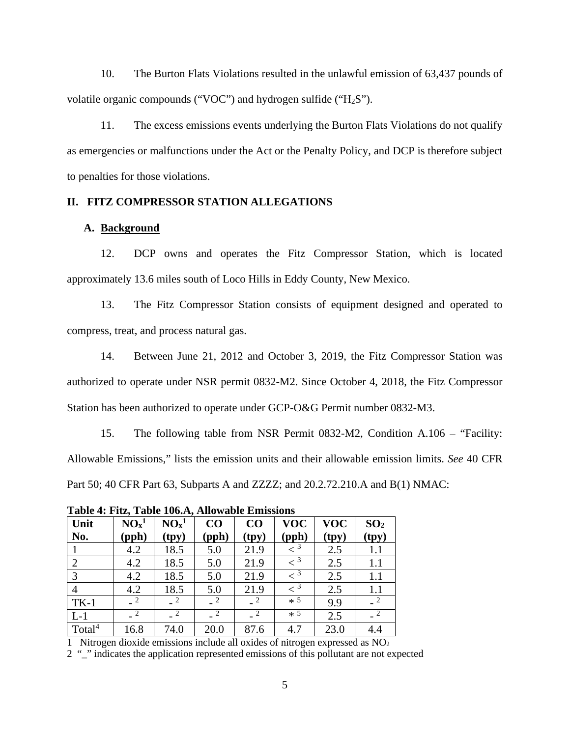10. The Burton Flats Violations resulted in the unlawful emission of 63,437 pounds of volatile organic compounds ("VOC") and hydrogen sulfide ("H2S").

11. The excess emissions events underlying the Burton Flats Violations do not qualify as emergencies or malfunctions under the Act or the Penalty Policy, and DCP is therefore subject to penalties for those violations.

# **II. FITZ COMPRESSOR STATION ALLEGATIONS**

# **A. Background**

12. DCP owns and operates the Fitz Compressor Station, which is located approximately 13.6 miles south of Loco Hills in Eddy County, New Mexico.

13. The Fitz Compressor Station consists of equipment designed and operated to compress, treat, and process natural gas.

14. Between June 21, 2012 and October 3, 2019, the Fitz Compressor Station was authorized to operate under NSR permit 0832-M2. Since October 4, 2018, the Fitz Compressor Station has been authorized to operate under GCP-O&G Permit number 0832-M3.

15. The following table from NSR Permit 0832-M2, Condition A.106 – "Facility: Allowable Emissions," lists the emission units and their allowable emission limits. *See* 40 CFR Part 50; 40 CFR Part 63, Subparts A and ZZZZ; and 20.2.72.210.A and B(1) NMAC:

**Table 4: Fitz, Table 106.A, Allowable Emissions**

| Unit               | NO <sub>x</sub> <sup>1</sup> | NO <sub>x</sub> <sup>1</sup> | CO             | CO    | <b>VOC</b>              | <b>VOC</b> | SO <sub>2</sub> |
|--------------------|------------------------------|------------------------------|----------------|-------|-------------------------|------------|-----------------|
| No.                | (pph)                        | (tpy)                        | (pph)          | (tpy) | (pph)                   | (tpy)      | (tpy)           |
|                    | 4.2                          | 18.5                         | 5.0            | 21.9  | $\langle$ <sup>3</sup>  | 2.5        | 1.1             |
| $\overline{2}$     | 4.2                          | 18.5                         | 5.0            | 21.9  | $\epsilon$ <sup>3</sup> | 2.5        | 1.1             |
| 3                  | 4.2                          | 18.5                         | 5.0            | 21.9  | $\overline{<}$ 3        | 2.5        | 1.1             |
|                    | 4.2                          | 18.5                         | 5.0            | 21.9  | $\overline{z^3}$        | 2.5        | 1.1             |
| $TK-1$             |                              |                              | $\overline{2}$ |       | $*$ 5                   | 9.9        |                 |
| $L-1$              |                              |                              |                |       | $*$ 5                   | 2.5        |                 |
| Total <sup>4</sup> | 16.8                         | 74.0                         | 20.0           | 87.6  | 4.7                     | 23.0       | 4.4             |

1 Nitrogen dioxide emissions include all oxides of nitrogen expressed as  $NO<sub>2</sub>$ 

2 "\_" indicates the application represented emissions of this pollutant are not expected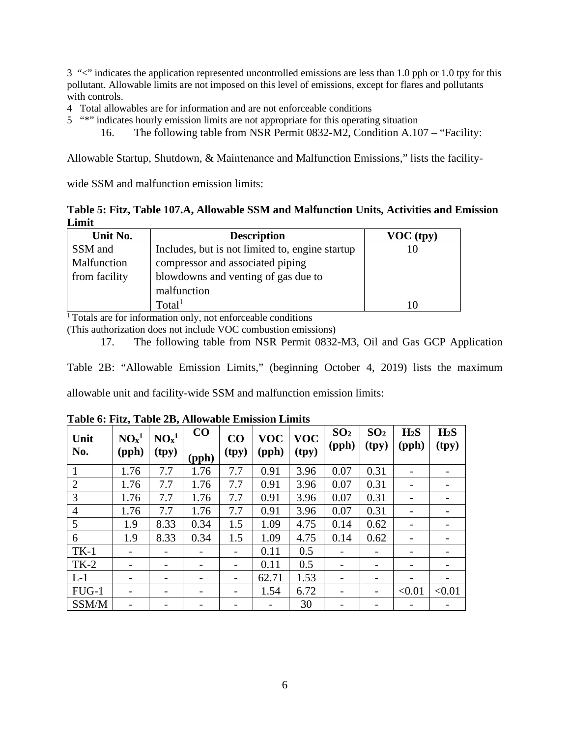3 "<" indicates the application represented uncontrolled emissions are less than 1.0 pph or 1.0 tpy for this pollutant. Allowable limits are not imposed on this level of emissions, except for flares and pollutants with controls.

- 4 Total allowables are for information and are not enforceable conditions
- 5 "\*" indicates hourly emission limits are not appropriate for this operating situation
	- 16. The following table from NSR Permit 0832-M2, Condition A.107 "Facility:

Allowable Startup, Shutdown, & Maintenance and Malfunction Emissions," lists the facility-

wide SSM and malfunction emission limits:

**Table 5: Fitz, Table 107.A, Allowable SSM and Malfunction Units, Activities and Emission Limit**

| Unit No.      | <b>Description</b>                              | VOC (typ) |
|---------------|-------------------------------------------------|-----------|
| SSM and       | Includes, but is not limited to, engine startup |           |
| Malfunction   | compressor and associated piping                |           |
| from facility | blowdowns and venting of gas due to             |           |
|               | malfunction                                     |           |
|               | Total <sup>1</sup>                              |           |

<sup>1</sup> Totals are for information only, not enforceable conditions

(This authorization does not include VOC combustion emissions)

17. The following table from NSR Permit 0832-M3, Oil and Gas GCP Application

Table 2B: "Allowable Emission Limits," (beginning October 4, 2019) lists the maximum

allowable unit and facility-wide SSM and malfunction emission limits:

| Unit<br>No.    | NO <sub>x</sub> <sup>1</sup><br>(pph) | NO <sub>x</sub> <sup>1</sup><br>(tpy) | $\bf CO$<br>(pph) | CO<br>(tpy) | <b>VOC</b><br>(pph) | <b>VOC</b><br>(tpy) | SO <sub>2</sub><br>(pph) | SO <sub>2</sub><br>(tpy) | H <sub>2</sub> S<br>(pph)    | H <sub>2</sub> S<br>(tpy) |
|----------------|---------------------------------------|---------------------------------------|-------------------|-------------|---------------------|---------------------|--------------------------|--------------------------|------------------------------|---------------------------|
|                | 1.76                                  | 7.7                                   | 1.76              | 7.7         | 0.91                | 3.96                | 0.07                     | 0.31                     |                              |                           |
| $\overline{2}$ | 1.76                                  | 7.7                                   | 1.76              | 7.7         | 0.91                | 3.96                | 0.07                     | 0.31                     | $\qquad \qquad \blacksquare$ |                           |
| 3              | 1.76                                  | 7.7                                   | 1.76              | 7.7         | 0.91                | 3.96                | 0.07                     | 0.31                     | $\overline{a}$               |                           |
| $\overline{4}$ | 1.76                                  | 7.7                                   | 1.76              | 7.7         | 0.91                | 3.96                | 0.07                     | 0.31                     |                              |                           |
| 5              | 1.9                                   | 8.33                                  | 0.34              | 1.5         | 1.09                | 4.75                | 0.14                     | 0.62                     | $\qquad \qquad \blacksquare$ |                           |
| 6              | 1.9                                   | 8.33                                  | 0.34              | 1.5         | 1.09                | 4.75                | 0.14                     | 0.62                     | $\qquad \qquad \blacksquare$ |                           |
| $TK-1$         |                                       | $\overline{\phantom{a}}$              |                   |             | 0.11                | 0.5                 |                          |                          |                              |                           |
| $TK-2$         |                                       |                                       |                   |             | 0.11                | 0.5                 |                          |                          |                              |                           |
| $L-1$          |                                       | $\overline{\phantom{0}}$              |                   |             | 62.71               | 1.53                |                          |                          | $\overline{a}$               |                           |
| $FUG-1$        |                                       |                                       |                   |             | 1.54                | 6.72                |                          |                          | < 0.01                       | < 0.01                    |
| SSM/M          |                                       |                                       |                   |             |                     | 30                  |                          |                          |                              |                           |

# **Table 6: Fitz, Table 2B, Allowable Emission Limits**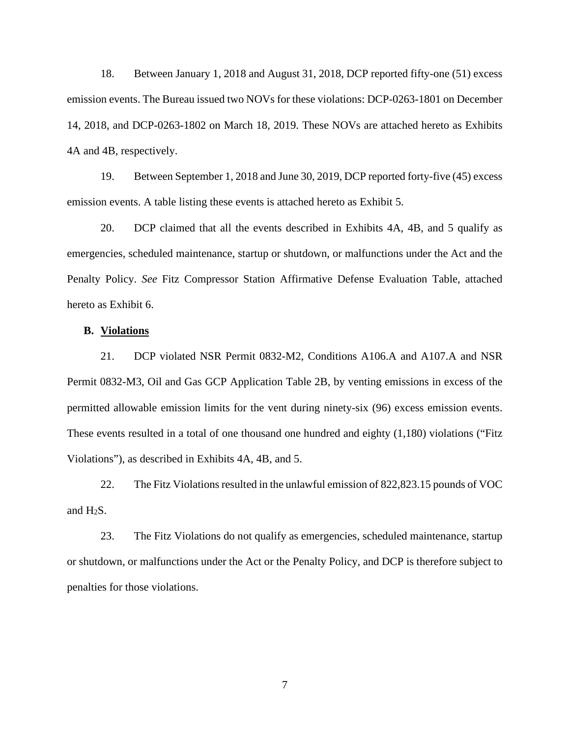18. Between January 1, 2018 and August 31, 2018, DCP reported fifty-one (51) excess emission events. The Bureau issued two NOVs for these violations: DCP-0263-1801 on December 14, 2018, and DCP-0263-1802 on March 18, 2019. These NOVs are attached hereto as Exhibits 4A and 4B, respectively.

19. Between September 1, 2018 and June 30, 2019, DCP reported forty-five (45) excess emission events. A table listing these events is attached hereto as Exhibit 5.

20. DCP claimed that all the events described in Exhibits 4A, 4B, and 5 qualify as emergencies, scheduled maintenance, startup or shutdown, or malfunctions under the Act and the Penalty Policy. *See* Fitz Compressor Station Affirmative Defense Evaluation Table, attached hereto as Exhibit 6.

# **B. Violations**

21. DCP violated NSR Permit 0832-M2, Conditions A106.A and A107.A and NSR Permit 0832-M3, Oil and Gas GCP Application Table 2B, by venting emissions in excess of the permitted allowable emission limits for the vent during ninety-six (96) excess emission events. These events resulted in a total of one thousand one hundred and eighty (1,180) violations ("Fitz Violations"), as described in Exhibits 4A, 4B, and 5.

22. The Fitz Violations resulted in the unlawful emission of 822,823.15 pounds of VOC and  $H_2S$ .

23. The Fitz Violations do not qualify as emergencies, scheduled maintenance, startup or shutdown, or malfunctions under the Act or the Penalty Policy, and DCP is therefore subject to penalties for those violations.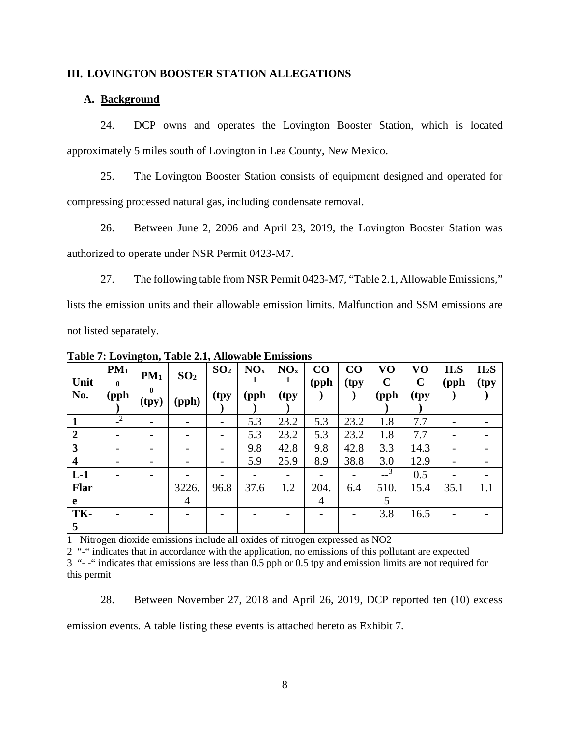# **III. LOVINGTON BOOSTER STATION ALLEGATIONS**

# **A. Background**

24. DCP owns and operates the Lovington Booster Station, which is located approximately 5 miles south of Lovington in Lea County, New Mexico.

25. The Lovington Booster Station consists of equipment designed and operated for compressing processed natural gas, including condensate removal.

26. Between June 2, 2006 and April 23, 2019, the Lovington Booster Station was authorized to operate under NSR Permit 0423-M7.

27. The following table from NSR Permit 0423-M7, "Table 2.1, Allowable Emissions," lists the emission units and their allowable emission limits. Malfunction and SSM emissions are not listed separately.

| Unit           | $PM_1$<br>$\mathbf{0}$ | ັ<br>PM <sub>1</sub><br>$\mathbf{0}$ | SO <sub>2</sub> | SO <sub>2</sub>          | NO <sub>x</sub> | NO <sub>x</sub> | CO<br>(pph | CO<br>(tpy | VO<br>$\mathbf C$ | VO<br>$\mathbf C$ | H <sub>2</sub> S<br>(pph) | H <sub>2</sub> S<br>(tpy |
|----------------|------------------------|--------------------------------------|-----------------|--------------------------|-----------------|-----------------|------------|------------|-------------------|-------------------|---------------------------|--------------------------|
| No.            | (pph                   | (tpy)                                | (pph)           | (tpy                     | (pph            | (tpy            |            |            | (pph              | (tpy)             |                           |                          |
|                | $\sqrt{2}$             | -                                    |                 | $\overline{\phantom{a}}$ | 5.3             | 23.2            | 5.3        | 23.2       | 1.8               | 7.7               |                           |                          |
| $\overline{2}$ |                        | $\qquad \qquad \blacksquare$         |                 | $\overline{\phantom{a}}$ | 5.3             | 23.2            | 5.3        | 23.2       | 1.8               | 7.7               |                           |                          |
| 3              |                        |                                      |                 |                          | 9.8             | 42.8            | 9.8        | 42.8       | 3.3               | 14.3              |                           |                          |
| 4              |                        |                                      |                 | $\overline{\phantom{0}}$ | 5.9             | 25.9            | 8.9        | 38.8       | 3.0               | 12.9              |                           |                          |
| $L-1$          |                        |                                      |                 |                          |                 |                 |            |            | 3                 | 0.5               |                           |                          |
| <b>Flar</b>    |                        |                                      | 3226.           | 96.8                     | 37.6            | 1.2             | 204.       | 6.4        | 510.              | 15.4              | 35.1                      | 1.1                      |
| e              |                        |                                      | 4               |                          |                 |                 | 4          |            | 5                 |                   |                           |                          |
| TK-<br>5       |                        |                                      |                 |                          |                 |                 |            |            | 3.8               | 16.5              |                           |                          |

**Table 7: Lovington, Table 2.1, Allowable Emissions**

1 Nitrogen dioxide emissions include all oxides of nitrogen expressed as NO2

2 "-" indicates that in accordance with the application, no emissions of this pollutant are expected 3 "- -" indicates that emissions are less than 0.5 pph or 0.5 tpy and emission limits are not required for this permit

28. Between November 27, 2018 and April 26, 2019, DCP reported ten (10) excess

emission events. A table listing these events is attached hereto as Exhibit 7.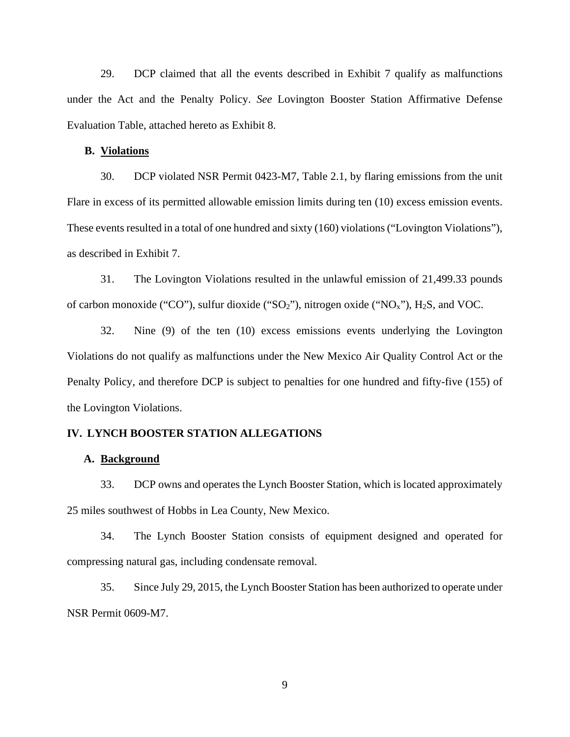29. DCP claimed that all the events described in Exhibit 7 qualify as malfunctions under the Act and the Penalty Policy. *See* Lovington Booster Station Affirmative Defense Evaluation Table, attached hereto as Exhibit 8.

# **B. Violations**

30. DCP violated NSR Permit 0423-M7, Table 2.1, by flaring emissions from the unit Flare in excess of its permitted allowable emission limits during ten (10) excess emission events. These events resulted in a total of one hundred and sixty (160) violations("Lovington Violations"), as described in Exhibit 7.

31. The Lovington Violations resulted in the unlawful emission of 21,499.33 pounds of carbon monoxide ("CO"), sulfur dioxide (" $SO_2$ "), nitrogen oxide (" $NO_x$ "),  $H_2S$ , and VOC.

32. Nine (9) of the ten (10) excess emissions events underlying the Lovington Violations do not qualify as malfunctions under the New Mexico Air Quality Control Act or the Penalty Policy, and therefore DCP is subject to penalties for one hundred and fifty-five (155) of the Lovington Violations.

# **IV. LYNCH BOOSTER STATION ALLEGATIONS**

# **A. Background**

33. DCP owns and operates the Lynch Booster Station, which is located approximately 25 miles southwest of Hobbs in Lea County, New Mexico.

34. The Lynch Booster Station consists of equipment designed and operated for compressing natural gas, including condensate removal.

35. Since July 29, 2015, the Lynch Booster Station has been authorized to operate under NSR Permit 0609-M7.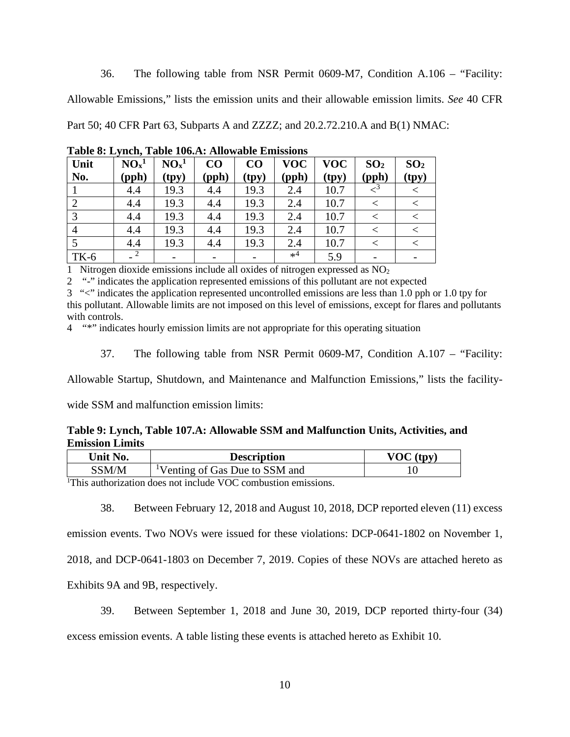36. The following table from NSR Permit 0609-M7, Condition A.106 – "Facility:

Allowable Emissions," lists the emission units and their allowable emission limits. *See* 40 CFR

Part 50; 40 CFR Part 63, Subparts A and ZZZZ; and 20.2.72.210.A and B(1) NMAC:

| Unit<br>No. | NO <sub>x</sub> <sup>1</sup><br>$(\text{pph})$ | NO <sub>x</sub> <sup>1</sup><br>(tpy) | CO<br>(pph) | $\bf CO$<br>(tpy) | <b>VOC</b><br>(pph) | <b>VOC</b><br>(tpy) | SO <sub>2</sub><br>(pph) | SO <sub>2</sub><br>(tpy) |
|-------------|------------------------------------------------|---------------------------------------|-------------|-------------------|---------------------|---------------------|--------------------------|--------------------------|
|             | 4.4                                            | 19.3                                  | 4.4         | 19.3              | 2.4                 | 10.7                |                          |                          |
|             | 4.4                                            | 19.3                                  | 4.4         | 19.3              | 2.4                 | 10.7                |                          |                          |
| 3           | 4.4                                            | 19.3                                  | 4.4         | 19.3              | 2.4                 | 10.7                |                          |                          |
| 4           | 4.4                                            | 19.3                                  | 4.4         | 19.3              | 2.4                 | 10.7                |                          |                          |
|             | 4.4                                            | 19.3                                  | 4.4         | 19.3              | 2.4                 | 10.7                |                          |                          |
| $TK-6$      |                                                |                                       |             |                   | $*^4$               | 5.9                 |                          |                          |

**Table 8: Lynch, Table 106.A: Allowable Emissions**

1 Nitrogen dioxide emissions include all oxides of nitrogen expressed as  $NO<sub>2</sub>$ 

2 "-" indicates the application represented emissions of this pollutant are not expected

3 "<" indicates the application represented uncontrolled emissions are less than 1.0 pph or 1.0 tpy for this pollutant. Allowable limits are not imposed on this level of emissions, except for flares and pollutants with controls.

4 "\*" indicates hourly emission limits are not appropriate for this operating situation

37. The following table from NSR Permit 0609-M7, Condition A.107 – "Facility:

Allowable Startup, Shutdown, and Maintenance and Malfunction Emissions," lists the facility-

wide SSM and malfunction emission limits:

**Table 9: Lynch, Table 107.A: Allowable SSM and Malfunction Units, Activities, and Emission Limits**

| Unit No. | <b>Description</b>                         | <b>VOC</b><br>$({tvv})$ |
|----------|--------------------------------------------|-------------------------|
| SSM/M    | <sup>1</sup> Venting of Gas Due to SSM and |                         |
|          |                                            |                         |

<sup>1</sup>This authorization does not include VOC combustion emissions.

38. Between February 12, 2018 and August 10, 2018, DCP reported eleven (11) excess

emission events. Two NOVs were issued for these violations: DCP-0641-1802 on November 1,

2018, and DCP-0641-1803 on December 7, 2019. Copies of these NOVs are attached hereto as

Exhibits 9A and 9B, respectively.

39. Between September 1, 2018 and June 30, 2019, DCP reported thirty-four (34)

excess emission events. A table listing these events is attached hereto as Exhibit 10.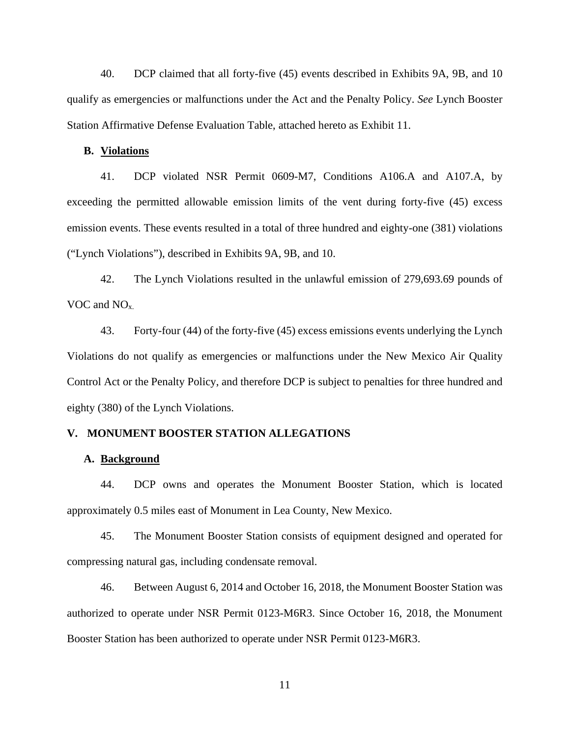40. DCP claimed that all forty-five (45) events described in Exhibits 9A, 9B, and 10 qualify as emergencies or malfunctions under the Act and the Penalty Policy. *See* Lynch Booster Station Affirmative Defense Evaluation Table, attached hereto as Exhibit 11.

# **B. Violations**

41. DCP violated NSR Permit 0609-M7, Conditions A106.A and A107.A, by exceeding the permitted allowable emission limits of the vent during forty-five (45) excess emission events. These events resulted in a total of three hundred and eighty-one (381) violations ("Lynch Violations"), described in Exhibits 9A, 9B, and 10.

42. The Lynch Violations resulted in the unlawful emission of 279,693.69 pounds of VOC and NO<sub>x</sub>.

43. Forty-four (44) of the forty-five (45) excess emissions events underlying the Lynch Violations do not qualify as emergencies or malfunctions under the New Mexico Air Quality Control Act or the Penalty Policy, and therefore DCP is subject to penalties for three hundred and eighty (380) of the Lynch Violations.

# **V. MONUMENT BOOSTER STATION ALLEGATIONS**

# **A. Background**

44. DCP owns and operates the Monument Booster Station, which is located approximately 0.5 miles east of Monument in Lea County, New Mexico.

45. The Monument Booster Station consists of equipment designed and operated for compressing natural gas, including condensate removal.

46. Between August 6, 2014 and October 16, 2018, the Monument Booster Station was authorized to operate under NSR Permit 0123-M6R3. Since October 16, 2018, the Monument Booster Station has been authorized to operate under NSR Permit 0123-M6R3.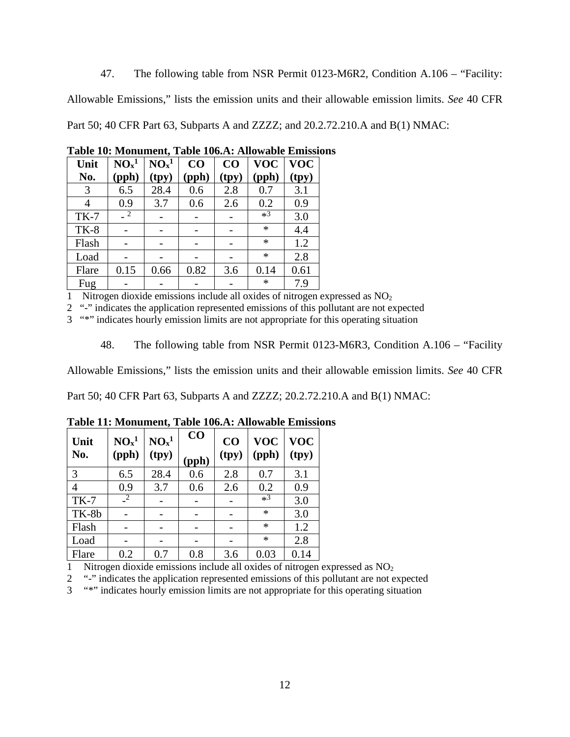47. The following table from NSR Permit 0123-M6R2, Condition A.106 – "Facility:

Allowable Emissions," lists the emission units and their allowable emission limits. *See* 40 CFR

Part 50; 40 CFR Part 63, Subparts A and ZZZZ; and 20.2.72.210.A and B(1) NMAC:

| Unit   | NO <sub>x</sub> <sup>1</sup> | NO <sub>x</sub> <sup>1</sup> | CO    | CO    | <b>VOC</b> | <b>VOC</b> |
|--------|------------------------------|------------------------------|-------|-------|------------|------------|
| No.    | (pph)                        | (tpy)                        | (pph) | (tpy) | (pph)      | (tpy)      |
| 3      | 6.5                          | 28.4                         | 0.6   | 2.8   | 0.7        | 3.1        |
| 4      | 0.9                          | 3.7                          | 0.6   | 2.6   | 0.2        | 0.9        |
| $TK-7$ | $\sqrt{2}$                   |                              |       |       | $*3$       | 3.0        |
| $TK-8$ |                              |                              |       |       | $\ast$     | 4.4        |
| Flash  |                              |                              |       |       | $\ast$     | 1.2        |
| Load   |                              |                              |       |       | $\ast$     | 2.8        |
| Flare  | 0.15                         | 0.66                         | 0.82  | 3.6   | 0.14       | 0.61       |
| Fug    |                              |                              |       |       | ∗          | 7.9        |

**Table 10: Monument, Table 106.A: Allowable Emissions**

1 Nitrogen dioxide emissions include all oxides of nitrogen expressed as NO2

2 "-" indicates the application represented emissions of this pollutant are not expected

3 "\*" indicates hourly emission limits are not appropriate for this operating situation

48. The following table from NSR Permit 0123-M6R3, Condition A.106 – "Facility

Allowable Emissions," lists the emission units and their allowable emission limits. *See* 40 CFR

Part 50; 40 CFR Part 63, Subparts A and ZZZZ; 20.2.72.210.A and B(1) NMAC:

| Unit           | NO <sub>x</sub> <sup>1</sup> | NO <sub>x</sub> <sup>1</sup> | CO    | CO    | <b>VOC</b> | <b>VOC</b> |
|----------------|------------------------------|------------------------------|-------|-------|------------|------------|
| No.            | (pph)                        | (tpy)                        | (pph) | (tpy) | (pph)      | (tpy)      |
| 3              | 6.5                          | 28.4                         | 0.6   | 2.8   | 0.7        | 3.1        |
| $\overline{4}$ | 0.9                          | 3.7                          | 0.6   | 2.6   | 0.2        | 0.9        |
| $TK-7$         | $\sqrt{2}$                   |                              |       |       | $*3$       | 3.0        |
| TK-8b          |                              |                              |       |       | $\ast$     | 3.0        |
| Flash          |                              |                              |       |       | $\ast$     | 1.2        |
| Load           |                              |                              |       |       | $\ast$     | 2.8        |
| Flare          | 0.2                          | 0.7                          | 0.8   | 3.6   | 0.03       | 0.14       |

**Table 11: Monument, Table 106.A: Allowable Emissions**

1 Nitrogen dioxide emissions include all oxides of nitrogen expressed as  $NO<sub>2</sub>$ 

2 "-" indicates the application represented emissions of this pollutant are not expected

3 "\*" indicates hourly emission limits are not appropriate for this operating situation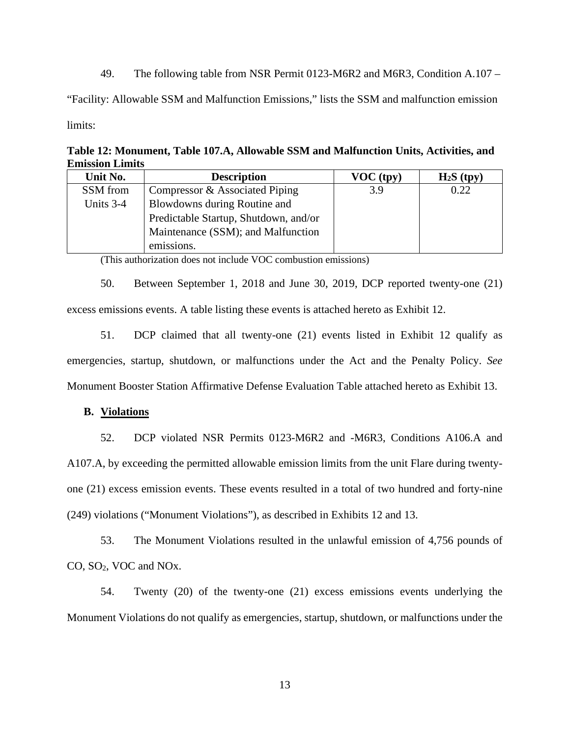49. The following table from NSR Permit 0123-M6R2 and M6R3, Condition A.107 –

"Facility: Allowable SSM and Malfunction Emissions," lists the SSM and malfunction emission limits:

**Table 12: Monument, Table 107.A, Allowable SSM and Malfunction Units, Activities, and Emission Limits**

| Unit No.  | <b>Description</b>                    | VOC (typ) | $H_2S$ (tpy) |
|-----------|---------------------------------------|-----------|--------------|
| SSM from  | Compressor & Associated Piping        | 3.9       | 0.22         |
| Units 3-4 | Blowdowns during Routine and          |           |              |
|           | Predictable Startup, Shutdown, and/or |           |              |
|           | Maintenance (SSM); and Malfunction    |           |              |
|           | emissions.                            |           |              |

(This authorization does not include VOC combustion emissions)

50. Between September 1, 2018 and June 30, 2019, DCP reported twenty-one (21) excess emissions events. A table listing these events is attached hereto as Exhibit 12.

51. DCP claimed that all twenty-one (21) events listed in Exhibit 12 qualify as emergencies, startup, shutdown, or malfunctions under the Act and the Penalty Policy. *See* Monument Booster Station Affirmative Defense Evaluation Table attached hereto as Exhibit 13.

# **B. Violations**

52. DCP violated NSR Permits 0123-M6R2 and -M6R3, Conditions A106.A and A107.A, by exceeding the permitted allowable emission limits from the unit Flare during twentyone (21) excess emission events. These events resulted in a total of two hundred and forty-nine (249) violations ("Monument Violations"), as described in Exhibits 12 and 13.

53. The Monument Violations resulted in the unlawful emission of 4,756 pounds of CO, SO2, VOC and NOx.

54. Twenty (20) of the twenty-one (21) excess emissions events underlying the Monument Violations do not qualify as emergencies, startup, shutdown, or malfunctions under the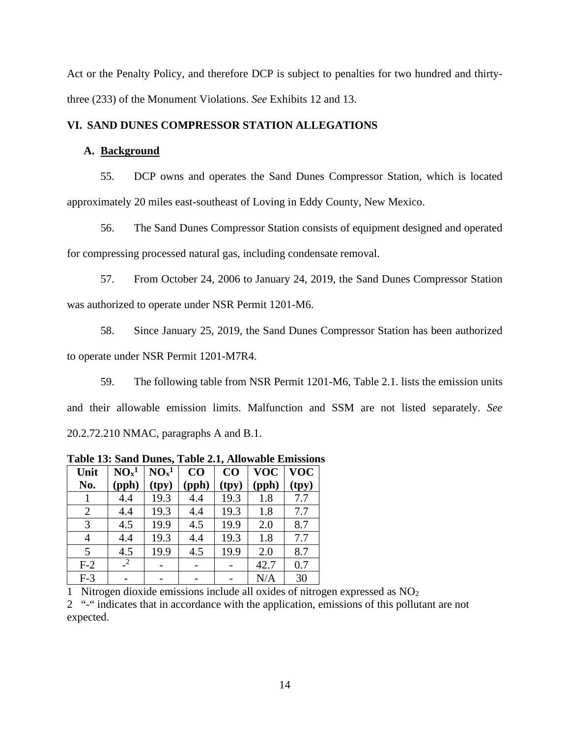Act or the Penalty Policy, and therefore DCP is subject to penalties for two hundred and thirtythree (233) of the Monument Violations. *See* Exhibits 12 and 13.

# **VI. SAND DUNES COMPRESSOR STATION ALLEGATIONS**

# **A. Background**

55. DCP owns and operates the Sand Dunes Compressor Station, which is located approximately 20 miles east-southeast of Loving in Eddy County, New Mexico.

56. The Sand Dunes Compressor Station consists of equipment designed and operated for compressing processed natural gas, including condensate removal.

57. From October 24, 2006 to January 24, 2019, the Sand Dunes Compressor Station was authorized to operate under NSR Permit 1201-M6.

58. Since January 25, 2019, the Sand Dunes Compressor Station has been authorized to operate under NSR Permit 1201-M7R4.

59. The following table from NSR Permit 1201-M6, Table 2.1. lists the emission units and their allowable emission limits. Malfunction and SSM are not listed separately. *See*  20.2.72.210 NMAC, paragraphs A and B.1.

| Unit           | NO <sub>x</sub> <sup>1</sup> | NO <sub>x</sub> <sup>1</sup> | CO    | CO    | <b>VOC</b> | <b>VOC</b> |
|----------------|------------------------------|------------------------------|-------|-------|------------|------------|
| No.            | (pph)                        | (tpy)                        | (pph) | (tpy) | (pph)      | (tpy)      |
|                | 4.4                          | 19.3                         | 4.4   | 19.3  | 1.8        | 7.7        |
| $\overline{2}$ | 4.4                          | 19.3                         | 4.4   | 19.3  | 1.8        | 7.7        |
| 3              | 4.5                          | 19.9                         | 4.5   | 19.9  | 2.0        | 8.7        |
| 4              | 4.4                          | 19.3                         | 4.4   | 19.3  | 1.8        | 7.7        |
| 5              | 4.5                          | 19.9                         | 4.5   | 19.9  | 2.0        | 8.7        |
| $F-2$          | 2                            |                              |       |       | 42.7       | 0.7        |
| $F-3$          |                              |                              |       |       | N/A        | 30         |

**Table 13: Sand Dunes, Table 2.1, Allowable Emissions**

1 Nitrogen dioxide emissions include all oxides of nitrogen expressed as NO2

2 "-" indicates that in accordance with the application, emissions of this pollutant are not expected.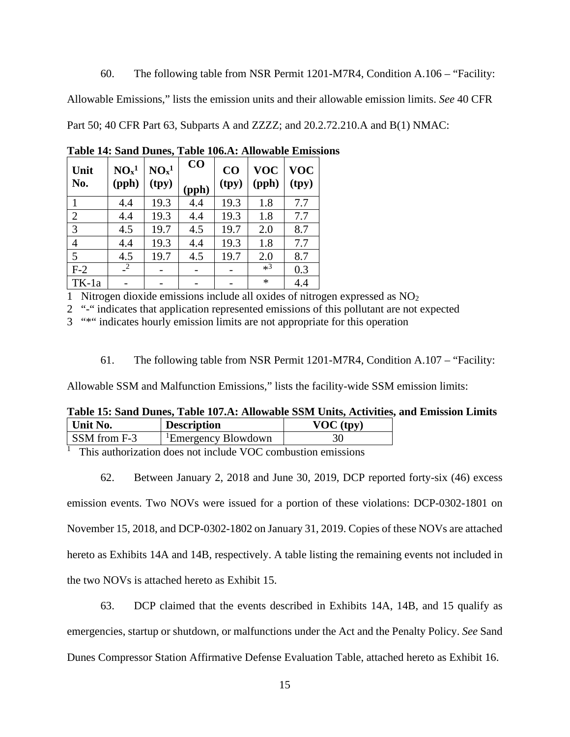60. The following table from NSR Permit 1201-M7R4, Condition A.106 – "Facility:

Allowable Emissions," lists the emission units and their allowable emission limits. *See* 40 CFR

Part 50; 40 CFR Part 63, Subparts A and ZZZZ; and 20.2.72.210.A and B(1) NMAC:

| Unit           | NO <sub>x</sub> <sup>1</sup> | NO <sub>x</sub> <sup>1</sup> | CO    | CO    | <b>VOC</b> | <b>VOC</b> |
|----------------|------------------------------|------------------------------|-------|-------|------------|------------|
| No.            | (pph)                        | (tpy)                        | (pph) | (tpy) | (pph)      | (tpy)      |
| 1              | 4.4                          | 19.3                         | 4.4   | 19.3  | 1.8        | 7.7        |
| $\overline{2}$ | 4.4                          | 19.3                         | 4.4   | 19.3  | 1.8        | 7.7        |
| 3              | 4.5                          | 19.7                         | 4.5   | 19.7  | 2.0        | 8.7        |
| $\overline{4}$ | 4.4                          | 19.3                         | 4.4   | 19.3  | 1.8        | 7.7        |
| 5              | 4.5                          | 19.7                         | 4.5   | 19.7  | 2.0        | 8.7        |
| $F-2$          | $\sqrt{2}$                   |                              |       |       | $*3$       | 0.3        |
| TK-1a          |                              |                              |       |       | $\ast$     | 4.4        |

**Table 14: Sand Dunes, Table 106.A: Allowable Emissions**

1 Nitrogen dioxide emissions include all oxides of nitrogen expressed as NO2

2 "-" indicates that application represented emissions of this pollutant are not expected

3 "\*" indicates hourly emission limits are not appropriate for this operation

61. The following table from NSR Permit 1201-M7R4, Condition A.107 – "Facility:

Allowable SSM and Malfunction Emissions," lists the facility-wide SSM emission limits:

|          | Table 15: Sand Dunes, Table 107.A: Allowable SSM Units, Activities, and Emission Limits |           |  |
|----------|-----------------------------------------------------------------------------------------|-----------|--|
| Unit No. | <b>Description</b>                                                                      | VOC (typ) |  |

| UMU 190.                                                                                   | <b>DESCLIPTION</b>              |  |  |  |  |  |  |
|--------------------------------------------------------------------------------------------|---------------------------------|--|--|--|--|--|--|
| SSM from F-3                                                                               | <sup>1</sup> Emergency Blowdown |  |  |  |  |  |  |
| <sup><math>\perp</math></sup> This authorization does not include VOC combustion emissions |                                 |  |  |  |  |  |  |

This authorization does not include VOC combustion emissions

62. Between January 2, 2018 and June 30, 2019, DCP reported forty-six (46) excess

emission events. Two NOVs were issued for a portion of these violations: DCP-0302-1801 on

November 15, 2018, and DCP-0302-1802 on January 31, 2019. Copies of these NOVs are attached

hereto as Exhibits 14A and 14B, respectively. A table listing the remaining events not included in

the two NOVs is attached hereto as Exhibit 15.

63. DCP claimed that the events described in Exhibits 14A, 14B, and 15 qualify as emergencies, startup or shutdown, or malfunctions under the Act and the Penalty Policy. *See* Sand Dunes Compressor Station Affirmative Defense Evaluation Table, attached hereto as Exhibit 16.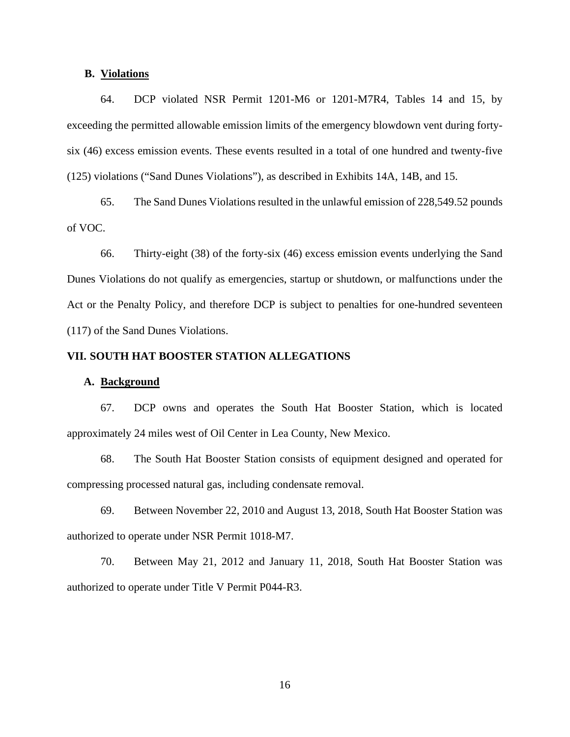# **B. Violations**

64. DCP violated NSR Permit 1201-M6 or 1201-M7R4, Tables 14 and 15, by exceeding the permitted allowable emission limits of the emergency blowdown vent during fortysix (46) excess emission events. These events resulted in a total of one hundred and twenty-five (125) violations ("Sand Dunes Violations"), as described in Exhibits 14A, 14B, and 15.

65. The Sand Dunes Violations resulted in the unlawful emission of 228,549.52 pounds of VOC.

66. Thirty-eight (38) of the forty-six (46) excess emission events underlying the Sand Dunes Violations do not qualify as emergencies, startup or shutdown, or malfunctions under the Act or the Penalty Policy, and therefore DCP is subject to penalties for one-hundred seventeen (117) of the Sand Dunes Violations.

#### **VII. SOUTH HAT BOOSTER STATION ALLEGATIONS**

#### **A. Background**

67. DCP owns and operates the South Hat Booster Station, which is located approximately 24 miles west of Oil Center in Lea County, New Mexico.

68. The South Hat Booster Station consists of equipment designed and operated for compressing processed natural gas, including condensate removal.

69. Between November 22, 2010 and August 13, 2018, South Hat Booster Station was authorized to operate under NSR Permit 1018-M7.

70. Between May 21, 2012 and January 11, 2018, South Hat Booster Station was authorized to operate under Title V Permit P044-R3.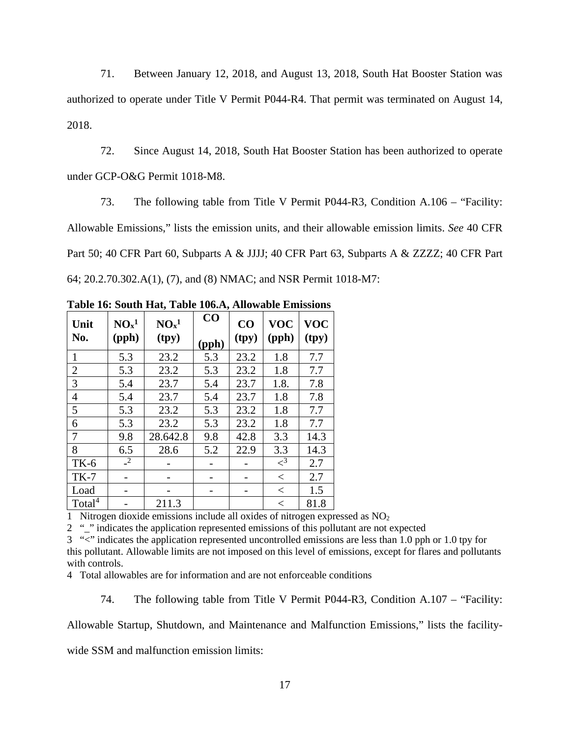71. Between January 12, 2018, and August 13, 2018, South Hat Booster Station was authorized to operate under Title V Permit P044-R4. That permit was terminated on August 14, 2018.

72. Since August 14, 2018, South Hat Booster Station has been authorized to operate under GCP-O&G Permit 1018-M8.

73. The following table from Title V Permit P044-R3, Condition A.106 – "Facility: Allowable Emissions," lists the emission units, and their allowable emission limits. *See* 40 CFR Part 50; 40 CFR Part 60, Subparts A & JJJJ; 40 CFR Part 63, Subparts A & ZZZZ; 40 CFR Part 64; 20.2.70.302.A(1), (7), and (8) NMAC; and NSR Permit 1018-M7:

| Unit<br>No.        | NO <sub>x</sub> <sup>1</sup><br>(pph) | NO <sub>x</sub> <sup>1</sup><br>(tpy) | CO<br>(pph) | CO<br>(tpy) | <b>VOC</b><br>(pph) | <b>VOC</b><br>(tpy) |
|--------------------|---------------------------------------|---------------------------------------|-------------|-------------|---------------------|---------------------|
| 1                  | 5.3                                   | 23.2                                  | 5.3         | 23.2        | 1.8                 | 7.7                 |
| $\overline{2}$     | 5.3                                   | 23.2                                  | 5.3         | 23.2        | 1.8                 | 7.7                 |
| 3                  | 5.4                                   | 23.7                                  | 5.4         | 23.7        | 1.8.                | 7.8                 |
| 4                  | 5.4                                   | 23.7                                  | 5.4         | 23.7        | 1.8                 | 7.8                 |
| 5                  | 5.3                                   | 23.2                                  | 5.3         | 23.2        | 1.8                 | 7.7                 |
| 6                  | 5.3                                   | 23.2                                  | 5.3         | 23.2        | 1.8                 | 7.7                 |
| 7                  | 9.8                                   | 28.642.8                              | 9.8         | 42.8        | 3.3                 | 14.3                |
| 8                  | 6.5                                   | 28.6                                  | 5.2         | 22.9        | 3.3                 | 14.3                |
| <b>TK-6</b>        | $\sqrt{2}$                            |                                       |             |             | $\leq$ <sup>3</sup> | 2.7                 |
| $TK-7$             |                                       |                                       |             |             | $\lt$               | 2.7                 |
| Load               |                                       |                                       |             |             | $\,<\,$             | 1.5                 |
| Total <sup>4</sup> |                                       | 211.3                                 |             |             | $\,<\,$             | 81.8                |

**Table 16: South Hat, Table 106.A, Allowable Emissions**

1 Nitrogen dioxide emissions include all oxides of nitrogen expressed as  $NO<sub>2</sub>$ 

2 "" indicates the application represented emissions of this pollutant are not expected

3 "<" indicates the application represented uncontrolled emissions are less than 1.0 pph or 1.0 tpy for

this pollutant. Allowable limits are not imposed on this level of emissions, except for flares and pollutants with controls.

4 Total allowables are for information and are not enforceable conditions

74. The following table from Title V Permit P044-R3, Condition A.107 – "Facility:

Allowable Startup, Shutdown, and Maintenance and Malfunction Emissions," lists the facility-

wide SSM and malfunction emission limits: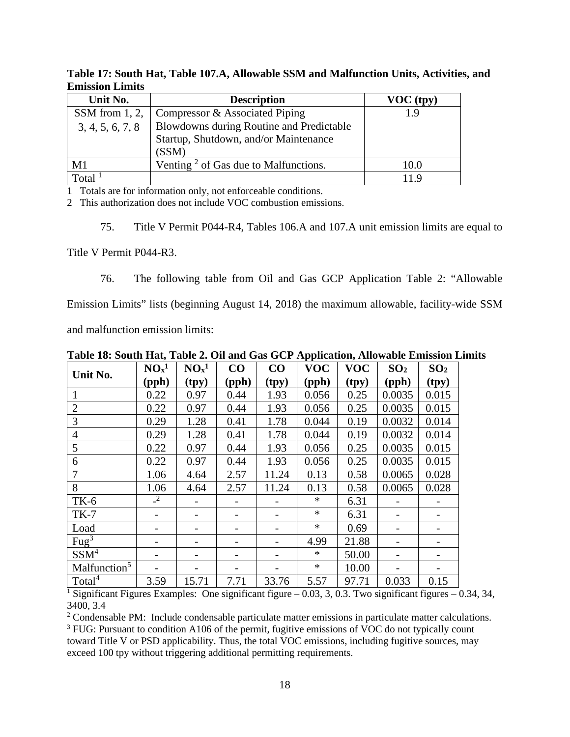| Unit No.          | <b>Description</b>                       | $VOC$ (tpy) |
|-------------------|------------------------------------------|-------------|
| SSM from $1, 2$ , | Compressor & Associated Piping           | 19          |
| 3, 4, 5, 6, 7, 8  | Blowdowns during Routine and Predictable |             |
|                   | Startup, Shutdown, and/or Maintenance    |             |
|                   | (SSM)                                    |             |
| M1                | Venting $2$ of Gas due to Malfunctions.  | 10.0        |
| Total             |                                          |             |

**Table 17: South Hat, Table 107.A, Allowable SSM and Malfunction Units, Activities, and Emission Limits**

1 Totals are for information only, not enforceable conditions.

2 This authorization does not include VOC combustion emissions.

75. Title V Permit P044-R4, Tables 106.A and 107.A unit emission limits are equal to

Title V Permit P044-R3.

76. The following table from Oil and Gas GCP Application Table 2: "Allowable Emission Limits" lists (beginning August 14, 2018) the maximum allowable, facility-wide SSM

and malfunction emission limits:

| Unit No.                            | NO <sub>x</sub> <sup>1</sup> | NO <sub>x</sub> <sup>1</sup> | CO    | CO    | <b>VOC</b> | <b>VOC</b> | SO <sub>2</sub> | SO <sub>2</sub> |
|-------------------------------------|------------------------------|------------------------------|-------|-------|------------|------------|-----------------|-----------------|
|                                     | (pph)                        | (tpy)                        | (pph) | (tpy) | (pph)      | (tpy)      | (pph)           | (tpy)           |
|                                     | 0.22                         | 0.97                         | 0.44  | 1.93  | 0.056      | 0.25       | 0.0035          | 0.015           |
| $\overline{2}$                      | 0.22                         | 0.97                         | 0.44  | 1.93  | 0.056      | 0.25       | 0.0035          | 0.015           |
| 3                                   | 0.29                         | 1.28                         | 0.41  | 1.78  | 0.044      | 0.19       | 0.0032          | 0.014           |
| $\overline{4}$                      | 0.29                         | 1.28                         | 0.41  | 1.78  | 0.044      | 0.19       | 0.0032          | 0.014           |
| 5                                   | 0.22                         | 0.97                         | 0.44  | 1.93  | 0.056      | 0.25       | 0.0035          | 0.015           |
| 6                                   | 0.22                         | 0.97                         | 0.44  | 1.93  | 0.056      | 0.25       | 0.0035          | 0.015           |
| 7                                   | 1.06                         | 4.64                         | 2.57  | 11.24 | 0.13       | 0.58       | 0.0065          | 0.028           |
| 8                                   | 1.06                         | 4.64                         | 2.57  | 11.24 | 0.13       | 0.58       | 0.0065          | 0.028           |
| <b>TK-6</b>                         | $\mathbf{r}^2$               |                              |       |       | $\ast$     | 6.31       |                 |                 |
| $TK-7$                              |                              |                              |       |       | $\ast$     | 6.31       |                 |                 |
| Load                                |                              |                              |       |       | $\ast$     | 0.69       |                 |                 |
| $\frac{\text{Fug}^3}{\text{Fug}^3}$ |                              | $\qquad \qquad \blacksquare$ |       |       | 4.99       | 21.88      |                 |                 |
| SSM <sup>4</sup>                    |                              | $\overline{\phantom{0}}$     |       |       | $\ast$     | 50.00      |                 |                 |
| Malfunction <sup>5</sup>            |                              |                              |       |       | $\ast$     | 10.00      |                 |                 |
| Total <sup>4</sup>                  | 3.59                         | 15.71                        | 7.71  | 33.76 | 5.57       | 97.71      | 0.033           | 0.15            |

**Table 18: South Hat, Table 2. Oil and Gas GCP Application, Allowable Emission Limits**

<sup>1</sup> Significant Figures Examples: One significant figure – 0.03, 3, 0.3. Two significant figures – 0.34, 34, 3400, 3.4

<sup>2</sup> Condensable PM: Include condensable particulate matter emissions in particulate matter calculations.  $3$  FUG: Pursuant to condition A106 of the permit, fugitive emissions of VOC do not typically count toward Title V or PSD applicability. Thus, the total VOC emissions, including fugitive sources, may exceed 100 tpy without triggering additional permitting requirements.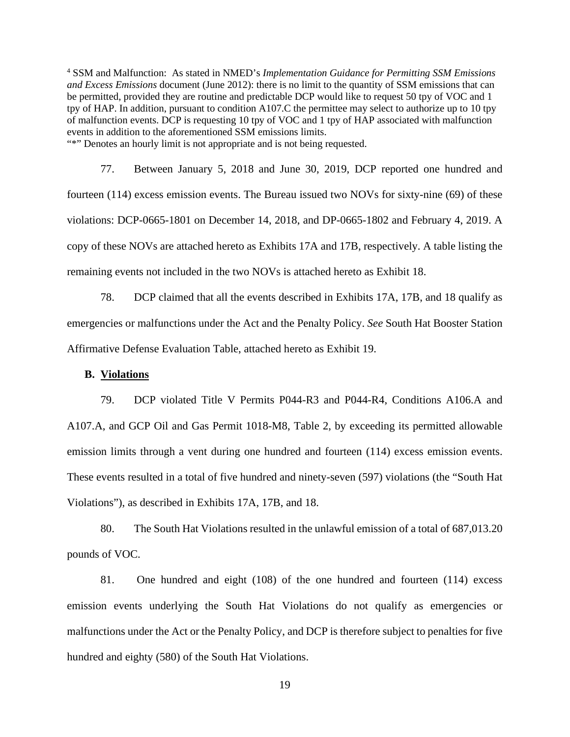<sup>4</sup> SSM and Malfunction: As stated in NMED's *Implementation Guidance for Permitting SSM Emissions and Excess Emissions* document (June 2012): there is no limit to the quantity of SSM emissions that can be permitted, provided they are routine and predictable DCP would like to request 50 tpy of VOC and 1 tpy of HAP. In addition, pursuant to condition A107.C the permittee may select to authorize up to 10 tpy of malfunction events. DCP is requesting 10 tpy of VOC and 1 tpy of HAP associated with malfunction events in addition to the aforementioned SSM emissions limits. "\*" Denotes an hourly limit is not appropriate and is not being requested.

77. Between January 5, 2018 and June 30, 2019, DCP reported one hundred and fourteen (114) excess emission events. The Bureau issued two NOVs for sixty-nine (69) of these violations: DCP-0665-1801 on December 14, 2018, and DP-0665-1802 and February 4, 2019. A copy of these NOVs are attached hereto as Exhibits 17A and 17B, respectively. A table listing the remaining events not included in the two NOVs is attached hereto as Exhibit 18.

78. DCP claimed that all the events described in Exhibits 17A, 17B, and 18 qualify as emergencies or malfunctions under the Act and the Penalty Policy. *See* South Hat Booster Station Affirmative Defense Evaluation Table, attached hereto as Exhibit 19.

#### **B. Violations**

79. DCP violated Title V Permits P044-R3 and P044-R4, Conditions A106.A and A107.A, and GCP Oil and Gas Permit 1018-M8, Table 2, by exceeding its permitted allowable emission limits through a vent during one hundred and fourteen (114) excess emission events. These events resulted in a total of five hundred and ninety-seven (597) violations (the "South Hat Violations"), as described in Exhibits 17A, 17B, and 18.

80. The South Hat Violations resulted in the unlawful emission of a total of 687,013.20 pounds of VOC.

81. One hundred and eight (108) of the one hundred and fourteen (114) excess emission events underlying the South Hat Violations do not qualify as emergencies or malfunctions under the Act or the Penalty Policy, and DCP is therefore subject to penalties for five hundred and eighty (580) of the South Hat Violations.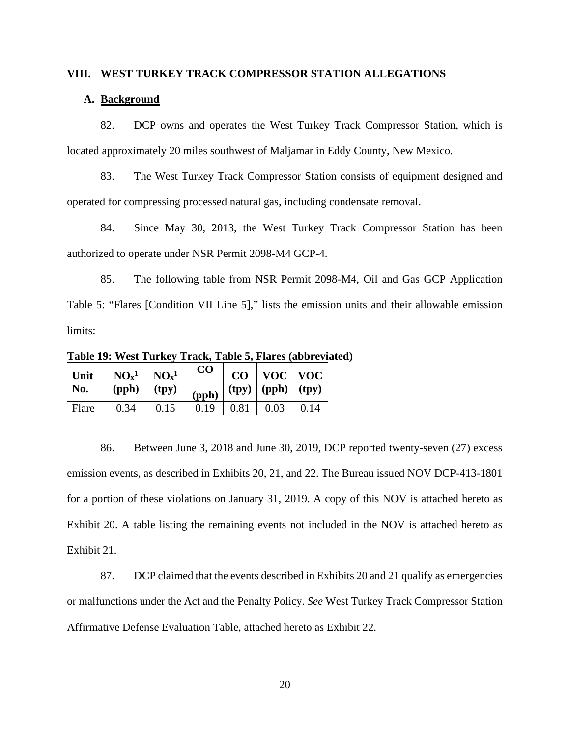### **VIII. WEST TURKEY TRACK COMPRESSOR STATION ALLEGATIONS**

# **A. Background**

82. DCP owns and operates the West Turkey Track Compressor Station, which is located approximately 20 miles southwest of Maljamar in Eddy County, New Mexico.

83. The West Turkey Track Compressor Station consists of equipment designed and operated for compressing processed natural gas, including condensate removal.

84. Since May 30, 2013, the West Turkey Track Compressor Station has been authorized to operate under NSR Permit 2098-M4 GCP-4.

85. The following table from NSR Permit 2098-M4, Oil and Gas GCP Application Table 5: "Flares [Condition VII Line 5]," lists the emission units and their allowable emission limits:

**Table 19: West Turkey Track, Table 5, Flares (abbreviated)**

| Unit<br>No. | $NOx1$ $NOx1$<br>$(pph)$ (tpy) |      | CO<br>$\frac{1}{2}$ (pph) |             | $CO$   VOC   VOC<br>$\mid$ (tpy) $\mid$ (pph) $\mid$ (tpy) |      |
|-------------|--------------------------------|------|---------------------------|-------------|------------------------------------------------------------|------|
| Flare       | 0.34                           | 0.15 | 0.19                      | $\mid$ 0.81 | $\vert 0.03 \vert$                                         | 0.14 |

86. Between June 3, 2018 and June 30, 2019, DCP reported twenty-seven (27) excess emission events, as described in Exhibits 20, 21, and 22. The Bureau issued NOV DCP-413-1801 for a portion of these violations on January 31, 2019. A copy of this NOV is attached hereto as Exhibit 20. A table listing the remaining events not included in the NOV is attached hereto as Exhibit 21.

87. DCP claimed that the events described in Exhibits 20 and 21 qualify as emergencies or malfunctions under the Act and the Penalty Policy. *See* West Turkey Track Compressor Station Affirmative Defense Evaluation Table, attached hereto as Exhibit 22.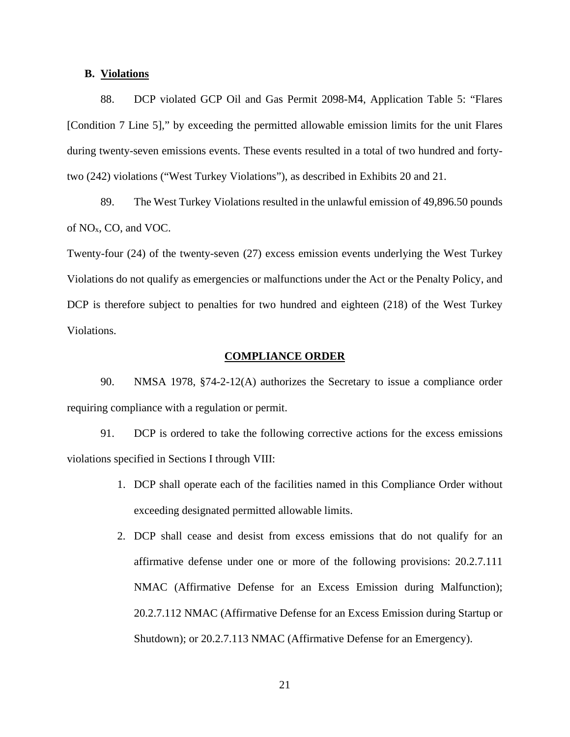# **B. Violations**

88. DCP violated GCP Oil and Gas Permit 2098-M4, Application Table 5: "Flares [Condition 7 Line 5]," by exceeding the permitted allowable emission limits for the unit Flares during twenty-seven emissions events. These events resulted in a total of two hundred and fortytwo (242) violations ("West Turkey Violations"), as described in Exhibits 20 and 21.

89. The West Turkey Violations resulted in the unlawful emission of 49,896.50 pounds of NOx, CO, and VOC.

Twenty-four (24) of the twenty-seven (27) excess emission events underlying the West Turkey Violations do not qualify as emergencies or malfunctions under the Act or the Penalty Policy, and DCP is therefore subject to penalties for two hundred and eighteen (218) of the West Turkey Violations.

#### **COMPLIANCE ORDER**

90. NMSA 1978, §74-2-12(A) authorizes the Secretary to issue a compliance order requiring compliance with a regulation or permit.

91. DCP is ordered to take the following corrective actions for the excess emissions violations specified in Sections I through VIII:

- 1. DCP shall operate each of the facilities named in this Compliance Order without exceeding designated permitted allowable limits.
- 2. DCP shall cease and desist from excess emissions that do not qualify for an affirmative defense under one or more of the following provisions: 20.2.7.111 NMAC (Affirmative Defense for an Excess Emission during Malfunction); 20.2.7.112 NMAC (Affirmative Defense for an Excess Emission during Startup or Shutdown); or 20.2.7.113 NMAC (Affirmative Defense for an Emergency).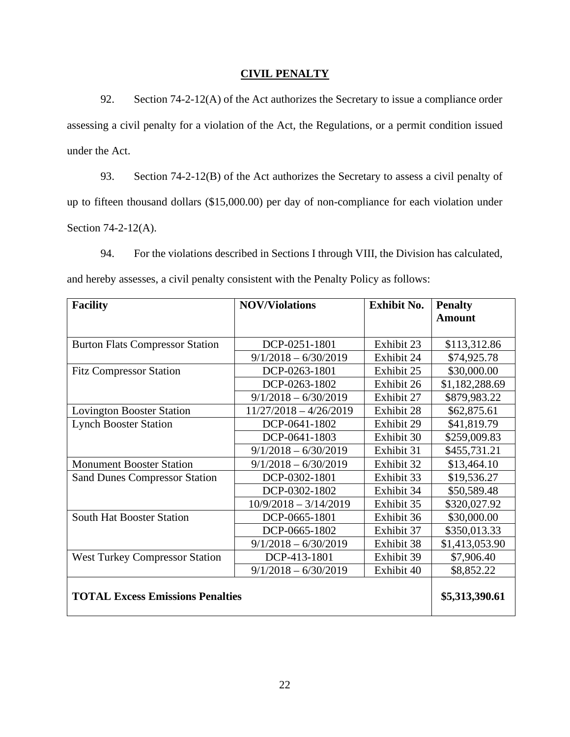# **CIVIL PENALTY**

92. Section 74-2-12(A) of the Act authorizes the Secretary to issue a compliance order assessing a civil penalty for a violation of the Act, the Regulations, or a permit condition issued under the Act.

93. Section 74-2-12(B) of the Act authorizes the Secretary to assess a civil penalty of up to fifteen thousand dollars (\$15,000.00) per day of non-compliance for each violation under Section 74-2-12(A).

94. For the violations described in Sections I through VIII, the Division has calculated, and hereby assesses, a civil penalty consistent with the Penalty Policy as follows:

| <b>Facility</b>                         | <b>NOV/Violations</b>    | <b>Exhibit No.</b> | <b>Penalty</b> |
|-----------------------------------------|--------------------------|--------------------|----------------|
|                                         |                          |                    | <b>Amount</b>  |
|                                         |                          |                    |                |
| <b>Burton Flats Compressor Station</b>  | DCP-0251-1801            | Exhibit 23         | \$113,312.86   |
|                                         | $9/1/2018 - 6/30/2019$   | Exhibit 24         | \$74,925.78    |
| <b>Fitz Compressor Station</b>          | DCP-0263-1801            | Exhibit 25         | \$30,000.00    |
|                                         | DCP-0263-1802            | Exhibit 26         | \$1,182,288.69 |
|                                         | $9/1/2018 - 6/30/2019$   | Exhibit 27         | \$879,983.22   |
| <b>Lovington Booster Station</b>        | $11/27/2018 - 4/26/2019$ | Exhibit 28         | \$62,875.61    |
| <b>Lynch Booster Station</b>            | DCP-0641-1802            | Exhibit 29         | \$41,819.79    |
|                                         | DCP-0641-1803            | Exhibit 30         | \$259,009.83   |
|                                         | $9/1/2018 - 6/30/2019$   | Exhibit 31         | \$455,731.21   |
| <b>Monument Booster Station</b>         | $9/1/2018 - 6/30/2019$   | Exhibit 32         | \$13,464.10    |
| <b>Sand Dunes Compressor Station</b>    | DCP-0302-1801            | Exhibit 33         | \$19,536.27    |
|                                         | DCP-0302-1802            | Exhibit 34         | \$50,589.48    |
|                                         | $10/9/2018 - 3/14/2019$  | Exhibit 35         | \$320,027.92   |
| <b>South Hat Booster Station</b>        | DCP-0665-1801            | Exhibit 36         | \$30,000.00    |
|                                         | DCP-0665-1802            | Exhibit 37         | \$350,013.33   |
|                                         | $9/1/2018 - 6/30/2019$   | Exhibit 38         | \$1,413,053.90 |
| <b>West Turkey Compressor Station</b>   | DCP-413-1801             | Exhibit 39         | \$7,906.40     |
|                                         | $9/1/2018 - 6/30/2019$   | Exhibit 40         | \$8,852.22     |
|                                         |                          |                    |                |
| <b>TOTAL Excess Emissions Penalties</b> | \$5,313,390.61           |                    |                |
|                                         |                          |                    |                |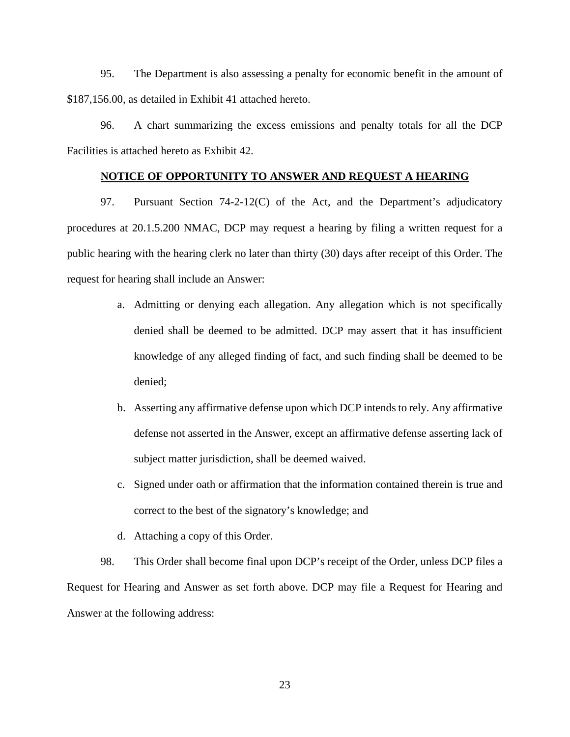95. The Department is also assessing a penalty for economic benefit in the amount of \$187,156.00, as detailed in Exhibit 41 attached hereto.

96. A chart summarizing the excess emissions and penalty totals for all the DCP Facilities is attached hereto as Exhibit 42.

# **NOTICE OF OPPORTUNITY TO ANSWER AND REQUEST A HEARING**

97. Pursuant Section 74-2-12(C) of the Act, and the Department's adjudicatory procedures at 20.1.5.200 NMAC, DCP may request a hearing by filing a written request for a public hearing with the hearing clerk no later than thirty (30) days after receipt of this Order. The request for hearing shall include an Answer:

- a. Admitting or denying each allegation. Any allegation which is not specifically denied shall be deemed to be admitted. DCP may assert that it has insufficient knowledge of any alleged finding of fact, and such finding shall be deemed to be denied;
- b. Asserting any affirmative defense upon which DCP intends to rely. Any affirmative defense not asserted in the Answer, except an affirmative defense asserting lack of subject matter jurisdiction, shall be deemed waived.
- c. Signed under oath or affirmation that the information contained therein is true and correct to the best of the signatory's knowledge; and
- d. Attaching a copy of this Order.

98. This Order shall become final upon DCP's receipt of the Order, unless DCP files a Request for Hearing and Answer as set forth above. DCP may file a Request for Hearing and Answer at the following address: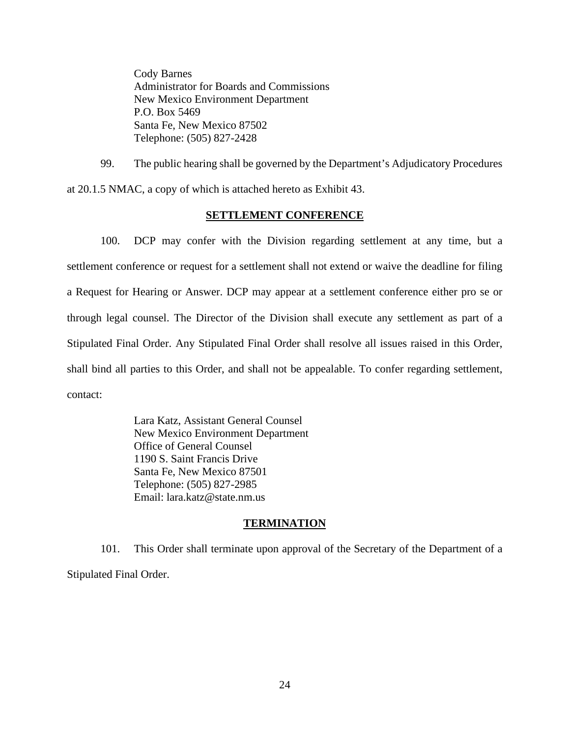Cody Barnes Administrator for Boards and Commissions New Mexico Environment Department P.O. Box 5469 Santa Fe, New Mexico 87502 Telephone: (505) 827-2428

99. The public hearing shall be governed by the Department's Adjudicatory Procedures at 20.1.5 NMAC, a copy of which is attached hereto as Exhibit 43.

# **SETTLEMENT CONFERENCE**

100. DCP may confer with the Division regarding settlement at any time, but a settlement conference or request for a settlement shall not extend or waive the deadline for filing a Request for Hearing or Answer. DCP may appear at a settlement conference either pro se or through legal counsel. The Director of the Division shall execute any settlement as part of a Stipulated Final Order. Any Stipulated Final Order shall resolve all issues raised in this Order, shall bind all parties to this Order, and shall not be appealable. To confer regarding settlement, contact:

> Lara Katz, Assistant General Counsel New Mexico Environment Department Office of General Counsel 1190 S. Saint Francis Drive Santa Fe, New Mexico 87501 Telephone: (505) 827-2985 Email: lara.katz@state.nm.us

# **TERMINATION**

101. This Order shall terminate upon approval of the Secretary of the Department of a Stipulated Final Order.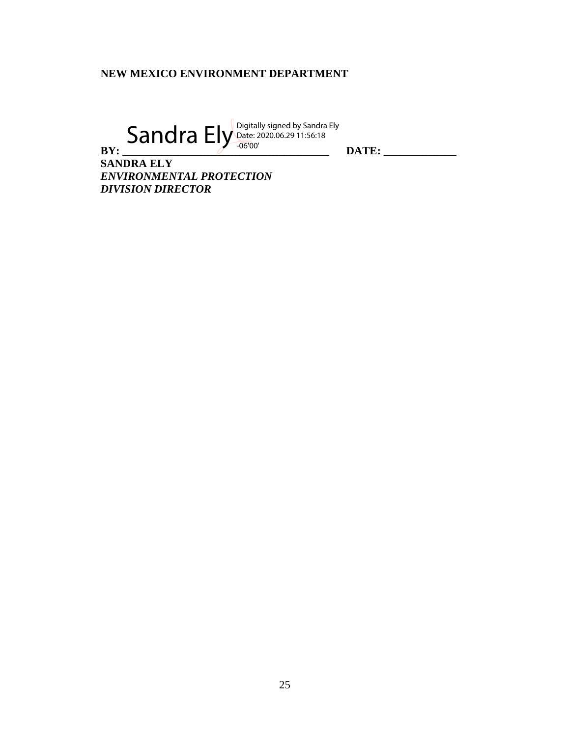# **NEW MEXICO ENVIRONMENT DEPARTMENT**

**BY:** \_\_\_\_\_\_\_\_\_\_\_\_\_\_\_\_\_\_\_\_\_\_\_\_\_\_\_\_\_\_\_\_\_\_\_\_\_ **DATE:** \_\_\_\_\_\_\_\_\_\_\_\_\_  $Sandra$  Ely Digitally signed by Sandra Ely Date: 2020.06.29 11:56:18 -06'00'

**SANDRA ELY** *ENVIRONMENTAL PROTECTION DIVISION DIRECTOR*